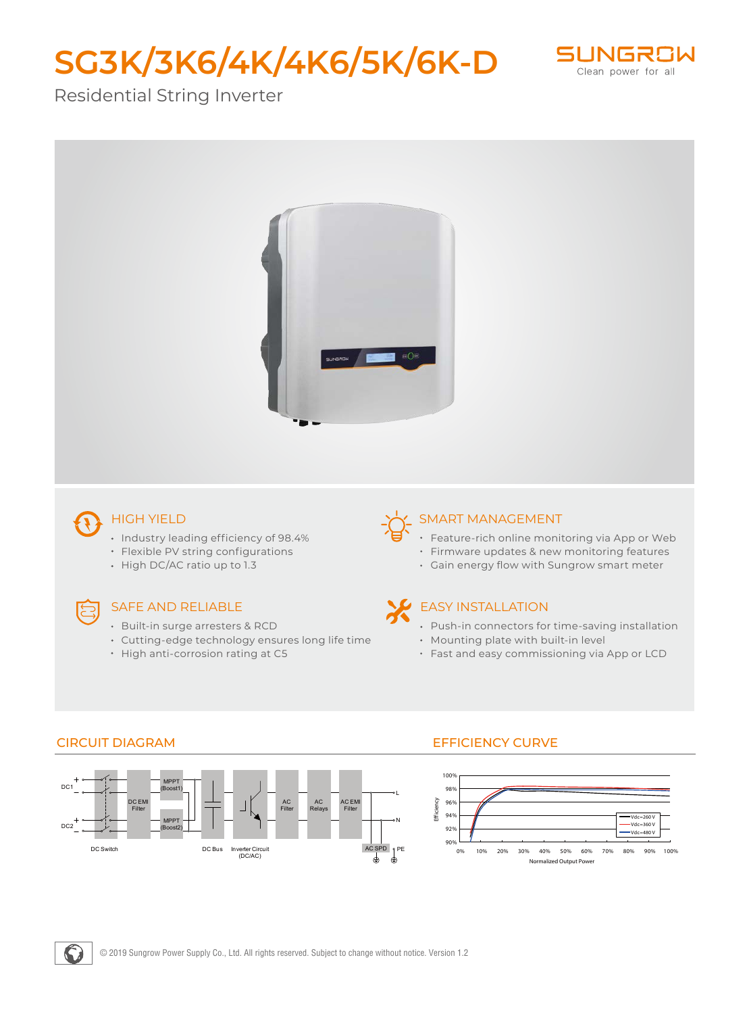# **SG3K/3K6/4K/4K6/5K/6K-D**



# Residential String Inverter



# HIGH YIELD

- Industry leading efficiency of 98.4%
- Flexible PV string configurations
- High DC/AC ratio up to 1.3

#### SAFE AND RELIABLE

- Built-in surge arresters & RCD
- Cutting-edge technology ensures long life time
- High anti-corrosion rating at C5

## SMART MANAGEMENT

- Feature-rich online monitoring via App or Web
- Firmware updates & new monitoring features
- Gain energy flow with Sungrow smart meter

### EASY INSTALLATION

- Push-in connectors for time-saving installation
- Mounting plate with built-in level
- Fast and easy commissioning via App or LCD



#### CIRCUIT DIAGRAM EFFICIENCY CURVE